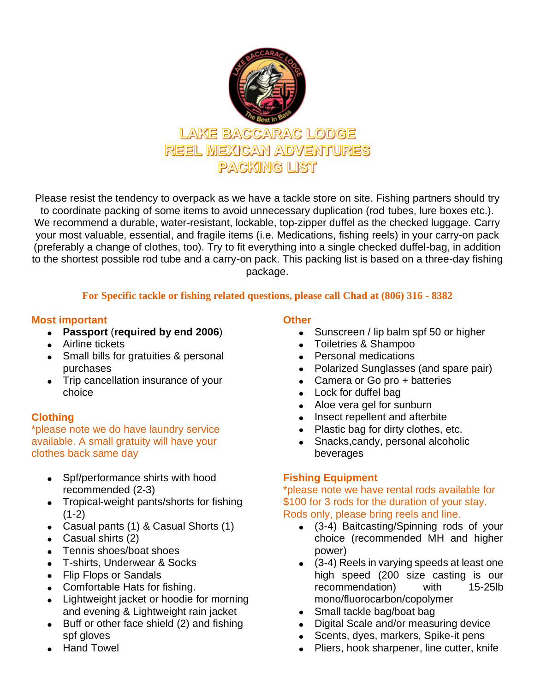

Please resist the tendency to overpack as we have a tackle store on site. Fishing partners should try to coordinate packing of some items to avoid unnecessary duplication (rod tubes, lure boxes etc.). We recommend a durable, water-resistant, lockable, top-zipper duffel as the checked luggage. Carry your most valuable, essential, and fragile items (i.e. Medications, fishing reels) in your carry-on pack (preferably a change of clothes, too). Try to fit everything into a single checked duffel-bag, in addition to the shortest possible rod tube and a carry-on pack. This packing list is based on a three-day fishing package.

## **For Specific tackle or fishing related questions, please call Chad at (806) 316 - 8382**

### **Most important**

- **Passport** (**required by end 2006**)
- Airline tickets
- Small bills for gratuities & personal purchases
- Trip cancellation insurance of your choice

# **Clothing**

\*please note we do have laundry service available. A small gratuity will have your clothes back same day

- Spf/performance shirts with hood recommended (2-3)
- Tropical-weight pants/shorts for fishing  $(1-2)$
- Casual pants (1) & Casual Shorts (1)
- Casual shirts (2)
- Tennis shoes/boat shoes
- T-shirts, Underwear & Socks
- Flip Flops or Sandals
- Comfortable Hats for fishing.
- Lightweight jacket or hoodie for morning and evening & Lightweight rain jacket
- Buff or other face shield (2) and fishing spf gloves
- Hand Towel

# **Other**

- Sunscreen / lip balm spf 50 or higher
- Toiletries & Shampoo
- Personal medications
- Polarized Sunglasses (and spare pair)
- Camera or Go pro + batteries
- Lock for duffel bag
- Aloe vera gel for sunburn
- Insect repellent and afterbite
- Plastic bag for dirty clothes, etc.
- Snacks,candy, personal alcoholic beverages

# **Fishing Equipment**

\*please note we have rental rods available for \$100 for 3 rods for the duration of your stay. Rods only, please bring reels and line.

- (3-4) Baitcasting/Spinning rods of your choice (recommended MH and higher power)
- (3-4) Reels in varying speeds at least one high speed (200 size casting is our recommendation) with 15-25lb mono/fluorocarbon/copolymer
- Small tackle bag/boat bag
- Digital Scale and/or measuring device
- Scents, dyes, markers, Spike-it pens
- Pliers, hook sharpener, line cutter, knife